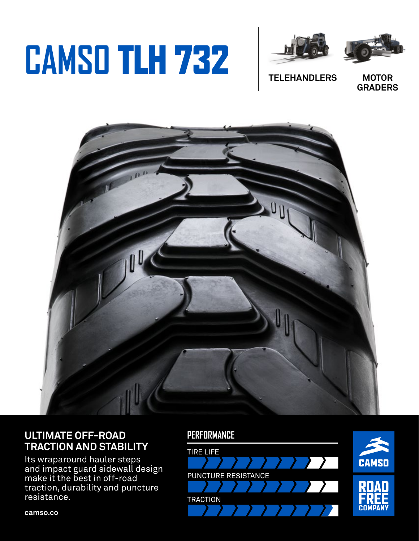# **CAMSO** TLH 732





**TELEHANDLERS**

**MOTOR GRADERS**



### **ULTIMATE OFF-ROAD TRACTION AND STABILITY**

Its wraparound hauler steps and impact guard sidewall design make it the best in off-road traction, durability and puncture resistance.

#### **PERFORMANCE**



**camso.co**